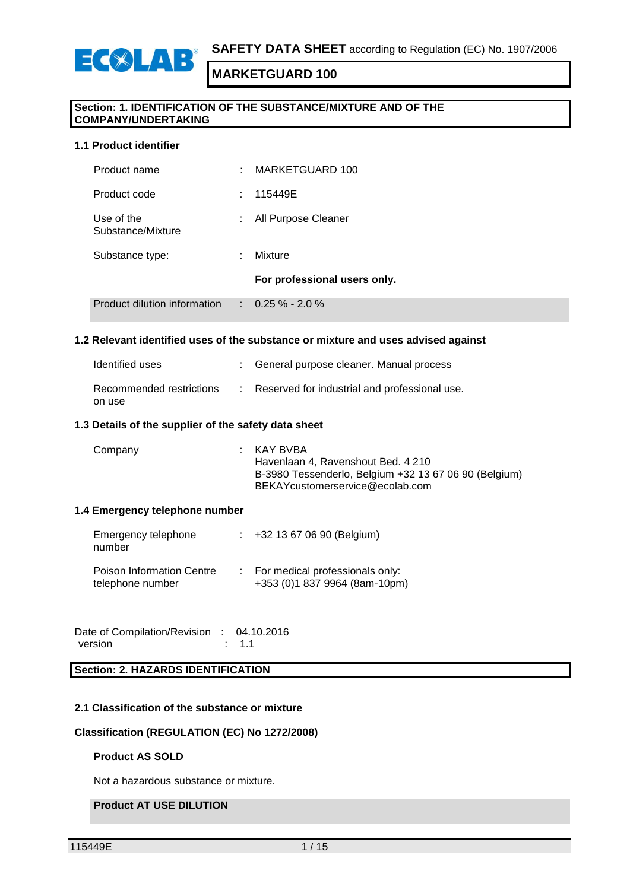

# ECSLAB

### **MARKETGUARD 100**

#### **Section: 1. IDENTIFICATION OF THE SUBSTANCE/MIXTURE AND OF THE COMPANY/UNDERTAKING**

#### **1.1 Product identifier**

| Product dilution information    |    | $\therefore$ 0.25 % - 2.0 %  |
|---------------------------------|----|------------------------------|
|                                 |    | For professional users only. |
| Substance type:                 | ÷  | Mixture                      |
| Use of the<br>Substance/Mixture | t. | All Purpose Cleaner          |
| Product code                    | ÷. | 115449E                      |
| Product name                    | t. | MARKETGUARD 100              |

#### **1.2 Relevant identified uses of the substance or mixture and uses advised against**

| Identified uses                    | : General purpose cleaner. Manual process       |
|------------------------------------|-------------------------------------------------|
| Recommended restrictions<br>on use | : Reserved for industrial and professional use. |

#### **1.3 Details of the supplier of the safety data sheet**

| Company | : KAY BVBA<br>Havenlaan 4, Ravenshout Bed. 4 210<br>B-3980 Tessenderlo, Belgium +32 13 67 06 90 (Belgium)<br>BEKAYcustomerservice@ecolab.com |
|---------|----------------------------------------------------------------------------------------------------------------------------------------------|
|         |                                                                                                                                              |

#### **1.4 Emergency telephone number**

| Emergency telephone<br>number                        | $\div$ +32 13 67 06 90 (Belgium)                                 |
|------------------------------------------------------|------------------------------------------------------------------|
| <b>Poison Information Centre</b><br>telephone number | For medical professionals only:<br>+353 (0)1 837 9964 (8am-10pm) |

Date of Compilation/Revision : 04.10.2016<br>version : 1.1 version

**Section: 2. HAZARDS IDENTIFICATION**

#### **2.1 Classification of the substance or mixture**

#### **Classification (REGULATION (EC) No 1272/2008)**

#### **Product AS SOLD**

Not a hazardous substance or mixture.

#### **Product AT USE DILUTION**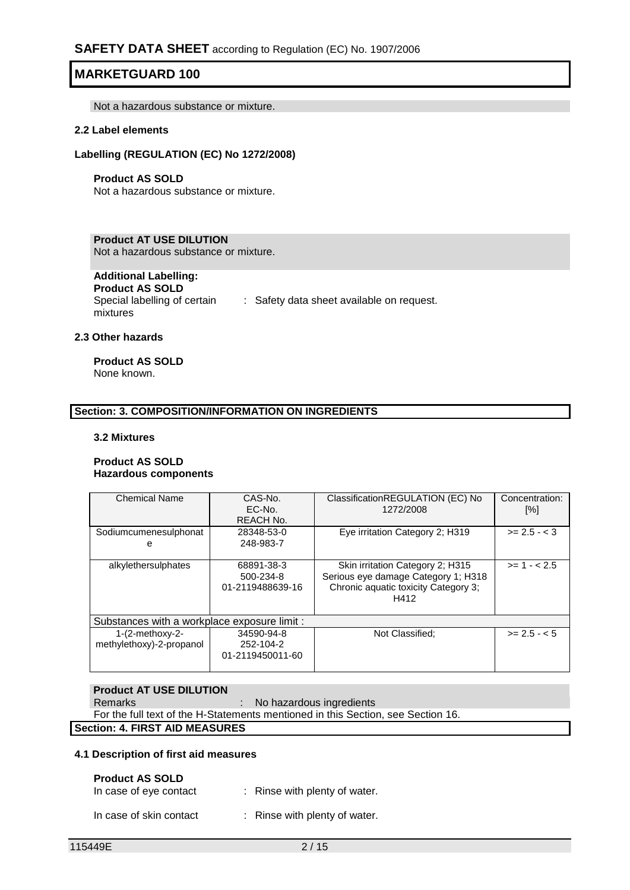Not a hazardous substance or mixture.

#### **2.2 Label elements**

#### **Labelling (REGULATION (EC) No 1272/2008)**

#### **Product AS SOLD**

Not a hazardous substance or mixture.

#### **Product AT USE DILUTION**

Not a hazardous substance or mixture.

### **Additional Labelling:**

**Product AS SOLD** Special labelling of certain : Safety data sheet available on request. mixtures

### **2.3 Other hazards**

#### **Product AS SOLD** None known.

#### **Section: 3. COMPOSITION/INFORMATION ON INGREDIENTS**

#### **3.2 Mixtures**

#### **Product AS SOLD Hazardous components**

| <b>Chemical Name</b>                          | CAS-No.<br>$EC-NO$<br>REACH No.             | ClassificationREGULATION (EC) No<br>1272/2008                                                                           | Concentration:<br>[%] |
|-----------------------------------------------|---------------------------------------------|-------------------------------------------------------------------------------------------------------------------------|-----------------------|
| Sodiumcumenesulphonat<br>е                    | 28348-53-0<br>248-983-7                     | Eye irritation Category 2; H319                                                                                         | $>= 2.5 - < 3$        |
| alkylethersulphates                           | 68891-38-3<br>500-234-8<br>01-2119488639-16 | Skin irritation Category 2; H315<br>Serious eye damage Category 1; H318<br>Chronic aquatic toxicity Category 3;<br>H412 | $>= 1 - 2.5$          |
| Substances with a workplace exposure limit :  |                                             |                                                                                                                         |                       |
| $1-(2-methoxy-2-$<br>methylethoxy)-2-propanol | 34590-94-8<br>252-104-2<br>01-2119450011-60 | Not Classified:                                                                                                         | $>= 2.5 - 5.5$        |

#### **Product AT USE DILUTION**

Remarks : No hazardous ingredients

For the full text of the H-Statements mentioned in this Section, see Section 16.

#### **Section: 4. FIRST AID MEASURES**

#### **4.1 Description of first aid measures**

#### **Product AS SOLD**

| In case of eye contact  | : Rinse with plenty of water. |
|-------------------------|-------------------------------|
| In case of skin contact | : Rinse with plenty of water. |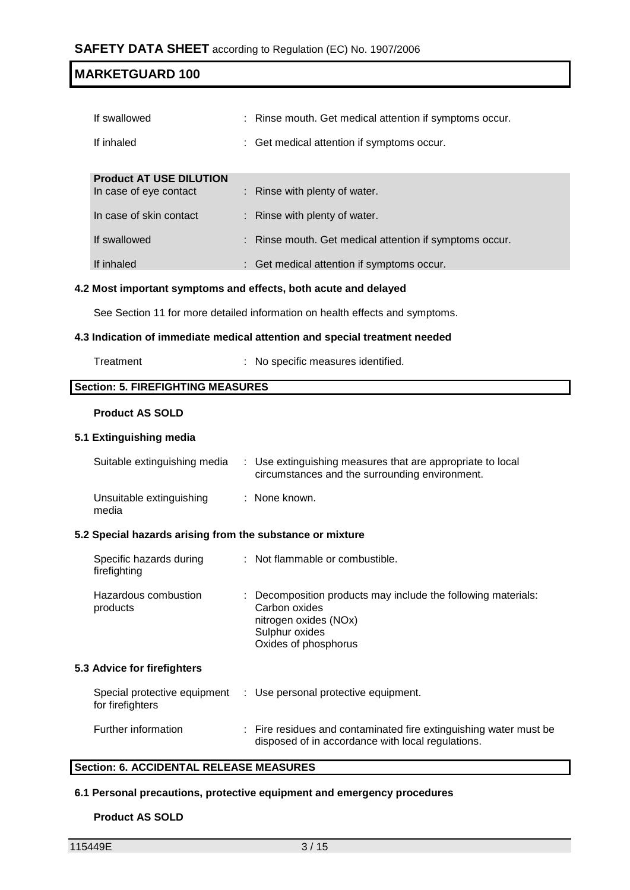| If swallowed                   | : Rinse mouth. Get medical attention if symptoms occur. |
|--------------------------------|---------------------------------------------------------|
| If inhaled                     | : Get medical attention if symptoms occur.              |
|                                |                                                         |
| <b>Product AT USE DILUTION</b> |                                                         |
| In case of eye contact         | $\therefore$ Rinse with plenty of water.                |
| In case of skin contact        | $\therefore$ Rinse with plenty of water.                |
| If swallowed                   | : Rinse mouth. Get medical attention if symptoms occur. |
| If inhaled                     | : Get medical attention if symptoms occur.              |

#### **4.2 Most important symptoms and effects, both acute and delayed**

See Section 11 for more detailed information on health effects and symptoms.

#### **4.3 Indication of immediate medical attention and special treatment needed**

| Treatment |  |
|-----------|--|
|-----------|--|

It is a state of the Specific measures identified.

#### **Section: 5. FIREFIGHTING MEASURES**

#### **Product AS SOLD**

#### **5.1 Extinguishing media**

| Suitable extinguishing media                              | : Use extinguishing measures that are appropriate to local<br>circumstances and the surrounding environment. |  |
|-----------------------------------------------------------|--------------------------------------------------------------------------------------------------------------|--|
| Unsuitable extinguishing<br>media                         | : None known.                                                                                                |  |
| 5.2 Special hazards arising from the substance or mixture |                                                                                                              |  |

| Specific hazards during<br>firefighting | : Not flammable or combustible.                                                                                                                   |
|-----------------------------------------|---------------------------------------------------------------------------------------------------------------------------------------------------|
| Hazardous combustion<br>products        | : Decomposition products may include the following materials:<br>Carbon oxides<br>nitrogen oxides (NOx)<br>Sulphur oxides<br>Oxides of phosphorus |

#### **5.3 Advice for firefighters**

| Special protective equipment<br>for firefighters | : Use personal protective equipment.                                                                                   |
|--------------------------------------------------|------------------------------------------------------------------------------------------------------------------------|
| Further information                              | : Fire residues and contaminated fire extinguishing water must be<br>disposed of in accordance with local regulations. |

#### **Section: 6. ACCIDENTAL RELEASE MEASURES**

#### **6.1 Personal precautions, protective equipment and emergency procedures**

#### **Product AS SOLD**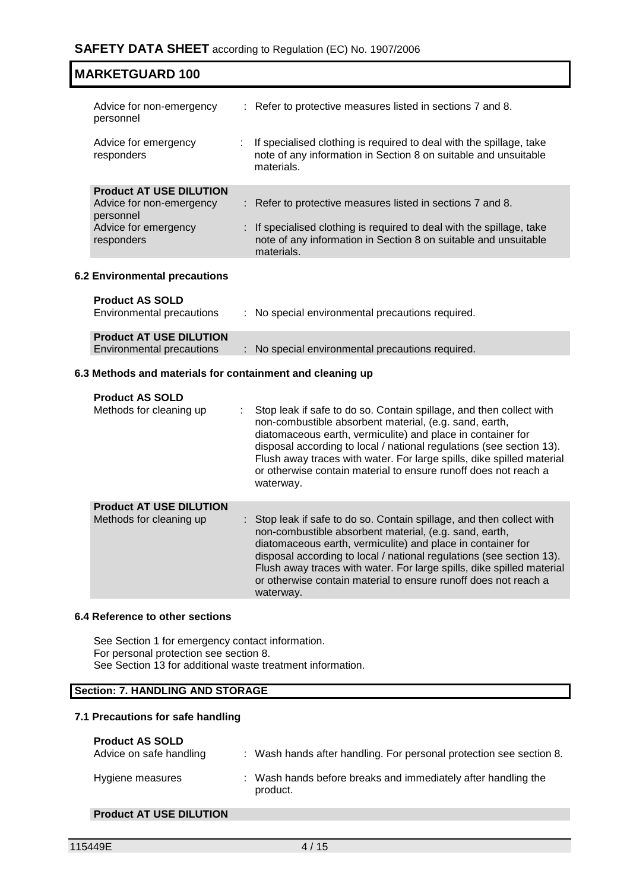| <b>MARKETGUARD 100</b>                                                                                        |                                                                                                                                                                                                                      |
|---------------------------------------------------------------------------------------------------------------|----------------------------------------------------------------------------------------------------------------------------------------------------------------------------------------------------------------------|
| Advice for non-emergency<br>personnel                                                                         | : Refer to protective measures listed in sections 7 and 8.                                                                                                                                                           |
| Advice for emergency<br>responders                                                                            | If specialised clothing is required to deal with the spillage, take<br>note of any information in Section 8 on suitable and unsuitable<br>materials.                                                                 |
| <b>Product AT USE DILUTION</b><br>Advice for non-emergency<br>personnel<br>Advice for emergency<br>responders | : Refer to protective measures listed in sections 7 and 8.<br>: If specialised clothing is required to deal with the spillage, take<br>note of any information in Section 8 on suitable and unsuitable<br>materials. |
| 6.2 Environmental precautions                                                                                 |                                                                                                                                                                                                                      |

### **Product AS SOLD**

| Environmental precautions      | : No special environmental precautions required. |
|--------------------------------|--------------------------------------------------|
| <b>Product AT USE DILUTION</b> |                                                  |
| Environmental precautions      | : No special environmental precautions required. |

#### **6.3 Methods and materials for containment and cleaning up**

| <b>Product AS SOLD</b><br>Methods for cleaning up         | Stop leak if safe to do so. Contain spillage, and then collect with<br>non-combustible absorbent material, (e.g. sand, earth,<br>diatomaceous earth, vermiculite) and place in container for<br>disposal according to local / national regulations (see section 13).<br>Flush away traces with water. For large spills, dike spilled material<br>or otherwise contain material to ensure runoff does not reach a<br>waterway.   |
|-----------------------------------------------------------|---------------------------------------------------------------------------------------------------------------------------------------------------------------------------------------------------------------------------------------------------------------------------------------------------------------------------------------------------------------------------------------------------------------------------------|
| <b>Product AT USE DILUTION</b><br>Methods for cleaning up | : Stop leak if safe to do so. Contain spillage, and then collect with<br>non-combustible absorbent material, (e.g. sand, earth,<br>diatomaceous earth, vermiculite) and place in container for<br>disposal according to local / national regulations (see section 13).<br>Flush away traces with water. For large spills, dike spilled material<br>or otherwise contain material to ensure runoff does not reach a<br>waterway. |

#### **6.4 Reference to other sections**

See Section 1 for emergency contact information. For personal protection see section 8. See Section 13 for additional waste treatment information.

#### **Section: 7. HANDLING AND STORAGE**

#### **7.1 Precautions for safe handling**

### **Product AS SOLD**

| Advice on safe handling | Wash hands after handling. For personal protection see section 8.         |
|-------------------------|---------------------------------------------------------------------------|
| Hygiene measures        | : Wash hands before breaks and immediately after handling the<br>product. |

#### **Product AT USE DILUTION**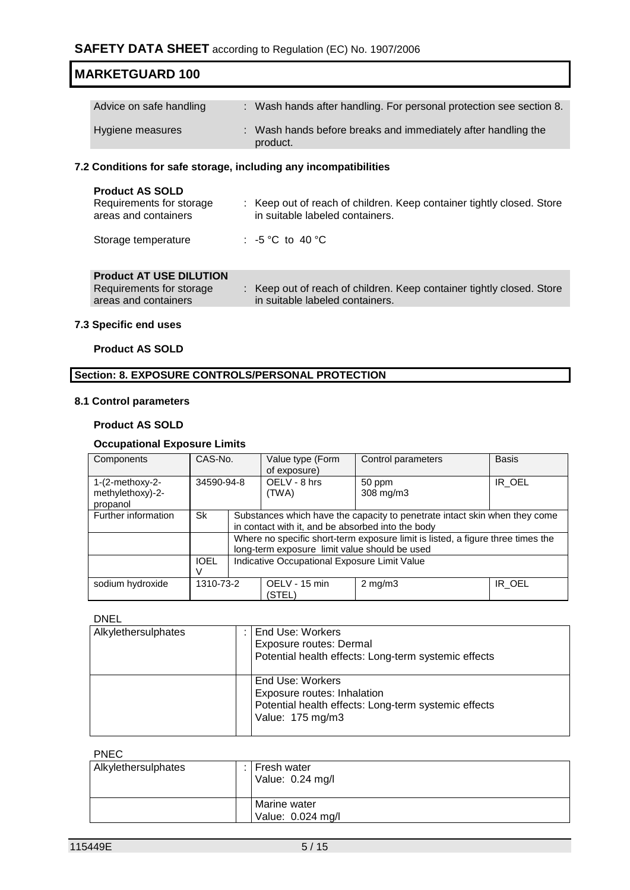| Advice on safe handling | : Wash hands after handling. For personal protection see section 8.       |
|-------------------------|---------------------------------------------------------------------------|
| Hygiene measures        | : Wash hands before breaks and immediately after handling the<br>product. |

#### **7.2 Conditions for safe storage, including any incompatibilities**

| <b>Product AS SOLD</b><br>Requirements for storage<br>areas and containers | : Keep out of reach of children. Keep container tightly closed. Store<br>in suitable labeled containers. |
|----------------------------------------------------------------------------|----------------------------------------------------------------------------------------------------------|
| Storage temperature                                                        | : -5 °C to 40 °C                                                                                         |

### **Product AT USE DILUTION**

| Requirements for storage | Keep out of reach of children. Keep container tightly closed. Store |
|--------------------------|---------------------------------------------------------------------|
| areas and containers     | in suitable labeled containers.                                     |
|                          |                                                                     |

#### **7.3 Specific end uses**

#### **Product AS SOLD**

#### **Section: 8. EXPOSURE CONTROLS/PERSONAL PROTECTION**

#### **8.1 Control parameters**

#### **Product AS SOLD**

#### **Occupational Exposure Limits**

| Components                            | CAS-No.     |  | Value type (Form<br>of exposure)                                                | Control parameters  | <b>Basis</b> |  |
|---------------------------------------|-------------|--|---------------------------------------------------------------------------------|---------------------|--------------|--|
| $1-(2-methoxy-2-$<br>methylethoxy)-2- | 34590-94-8  |  | OELV - 8 hrs<br>(TWA)                                                           | 50 ppm<br>308 mg/m3 | IR OEL       |  |
| propanol                              |             |  |                                                                                 |                     |              |  |
| Further information                   | Sk          |  | Substances which have the capacity to penetrate intact skin when they come      |                     |              |  |
|                                       |             |  | in contact with it, and be absorbed into the body                               |                     |              |  |
|                                       |             |  | Where no specific short-term exposure limit is listed, a figure three times the |                     |              |  |
|                                       |             |  | long-term exposure limit value should be used                                   |                     |              |  |
|                                       | <b>IOEL</b> |  | Indicative Occupational Exposure Limit Value                                    |                     |              |  |
|                                       |             |  |                                                                                 |                     |              |  |
| sodium hydroxide                      | 1310-73-2   |  | OELV - 15 min<br>(STEL)                                                         | $2 \text{ mg/m}$    | IR OEL       |  |

#### DNEL

| Alkylethersulphates | End Use: Workers<br>Exposure routes: Dermal<br>Potential health effects: Long-term systemic effects                         |
|---------------------|-----------------------------------------------------------------------------------------------------------------------------|
|                     | End Use: Workers<br>Exposure routes: Inhalation<br>Potential health effects: Long-term systemic effects<br>Value: 175 mg/m3 |

#### PNEC

| Alkylethersulphates | Fresh water<br>Value: 0.24 mg/l   |
|---------------------|-----------------------------------|
|                     | Marine water<br>Value: 0.024 mg/l |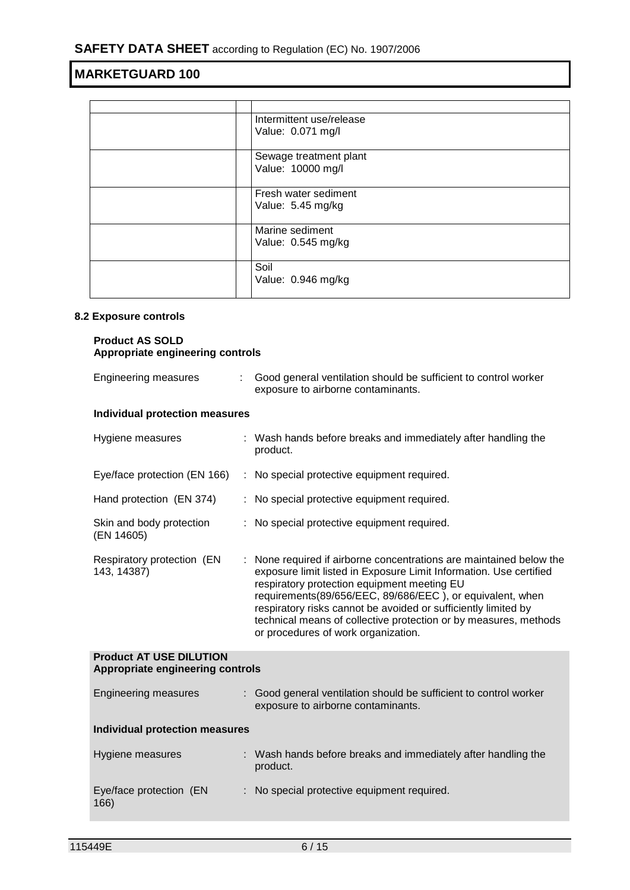| Intermittent use/release<br>Value: 0.071 mg/l |
|-----------------------------------------------|
| Sewage treatment plant<br>Value: 10000 mg/l   |
| Fresh water sediment<br>Value: 5.45 mg/kg     |
| Marine sediment<br>Value: 0.545 mg/kg         |
| Soil<br>Value: 0.946 mg/kg                    |

#### **8.2 Exposure controls**

#### **Product AS SOLD Appropriate engineering controls**

| Engineering measures                                               | Good general ventilation should be sufficient to control worker<br>exposure to airborne contaminants.                                                                                                                                                                                                                                                                                                                            |
|--------------------------------------------------------------------|----------------------------------------------------------------------------------------------------------------------------------------------------------------------------------------------------------------------------------------------------------------------------------------------------------------------------------------------------------------------------------------------------------------------------------|
| <b>Individual protection measures</b>                              |                                                                                                                                                                                                                                                                                                                                                                                                                                  |
| Hygiene measures                                                   | : Wash hands before breaks and immediately after handling the<br>product.                                                                                                                                                                                                                                                                                                                                                        |
| Eye/face protection (EN 166)                                       | : No special protective equipment required.                                                                                                                                                                                                                                                                                                                                                                                      |
| Hand protection (EN 374)                                           | : No special protective equipment required.                                                                                                                                                                                                                                                                                                                                                                                      |
| Skin and body protection<br>(EN 14605)                             | : No special protective equipment required.                                                                                                                                                                                                                                                                                                                                                                                      |
| Respiratory protection (EN<br>143, 14387)                          | None required if airborne concentrations are maintained below the<br>exposure limit listed in Exposure Limit Information. Use certified<br>respiratory protection equipment meeting EU<br>requirements(89/656/EEC, 89/686/EEC), or equivalent, when<br>respiratory risks cannot be avoided or sufficiently limited by<br>technical means of collective protection or by measures, methods<br>or procedures of work organization. |
| <b>Product AT USE DILUTION</b><br>Appropriate engineering controls |                                                                                                                                                                                                                                                                                                                                                                                                                                  |
| <b>Engineering measures</b>                                        | : Good general ventilation should be sufficient to control worker<br>exposure to airborne contaminants.                                                                                                                                                                                                                                                                                                                          |
| <b>Individual protection measures</b>                              |                                                                                                                                                                                                                                                                                                                                                                                                                                  |
| Hygiene measures                                                   | : Wash hands before breaks and immediately after handling the<br>product.                                                                                                                                                                                                                                                                                                                                                        |
| Eye/face protection (EN<br>166)                                    | : No special protective equipment required.                                                                                                                                                                                                                                                                                                                                                                                      |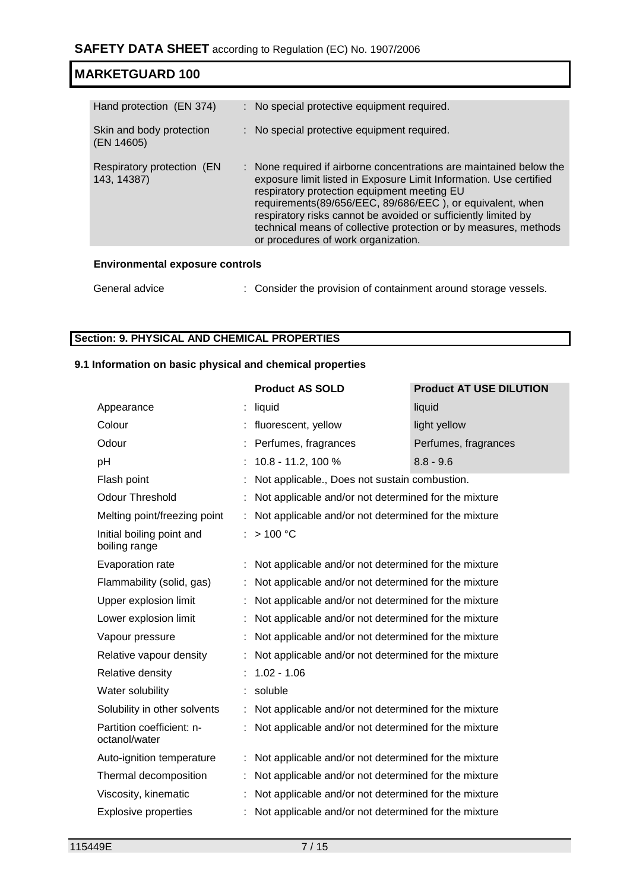| Hand protection (EN 374)                  | : No special protective equipment required.                                                                                                                                                                                                                                                                                                                                                                                        |
|-------------------------------------------|------------------------------------------------------------------------------------------------------------------------------------------------------------------------------------------------------------------------------------------------------------------------------------------------------------------------------------------------------------------------------------------------------------------------------------|
| Skin and body protection<br>(EN 14605)    | : No special protective equipment required.                                                                                                                                                                                                                                                                                                                                                                                        |
| Respiratory protection (EN<br>143, 14387) | : None required if airborne concentrations are maintained below the<br>exposure limit listed in Exposure Limit Information. Use certified<br>respiratory protection equipment meeting EU<br>requirements(89/656/EEC, 89/686/EEC), or equivalent, when<br>respiratory risks cannot be avoided or sufficiently limited by<br>technical means of collective protection or by measures, methods<br>or procedures of work organization. |
|                                           |                                                                                                                                                                                                                                                                                                                                                                                                                                    |

#### **Environmental exposure controls**

| General advice | : Consider the provision of containment around storage vessels. |
|----------------|-----------------------------------------------------------------|
|                |                                                                 |

### **Section: 9. PHYSICAL AND CHEMICAL PROPERTIES**

### **9.1 Information on basic physical and chemical properties**

| <b>Product AS SOLD</b>                               | <b>Product AT USE DILUTION</b> |
|------------------------------------------------------|--------------------------------|
| liquid                                               | liquid                         |
| fluorescent, yellow                                  | light yellow                   |
| Perfumes, fragrances                                 | Perfumes, fragrances           |
| 10.8 - 11.2, 100 %                                   | $8.8 - 9.6$                    |
| Not applicable., Does not sustain combustion.        |                                |
| Not applicable and/or not determined for the mixture |                                |
| Not applicable and/or not determined for the mixture |                                |
| >100 °C                                              |                                |
| Not applicable and/or not determined for the mixture |                                |
| Not applicable and/or not determined for the mixture |                                |
| Not applicable and/or not determined for the mixture |                                |
| Not applicable and/or not determined for the mixture |                                |
| Not applicable and/or not determined for the mixture |                                |
| Not applicable and/or not determined for the mixture |                                |
| $1.02 - 1.06$                                        |                                |
| soluble                                              |                                |
| Not applicable and/or not determined for the mixture |                                |
| Not applicable and/or not determined for the mixture |                                |
| Not applicable and/or not determined for the mixture |                                |
| Not applicable and/or not determined for the mixture |                                |
| Not applicable and/or not determined for the mixture |                                |
| Not applicable and/or not determined for the mixture |                                |
|                                                      |                                |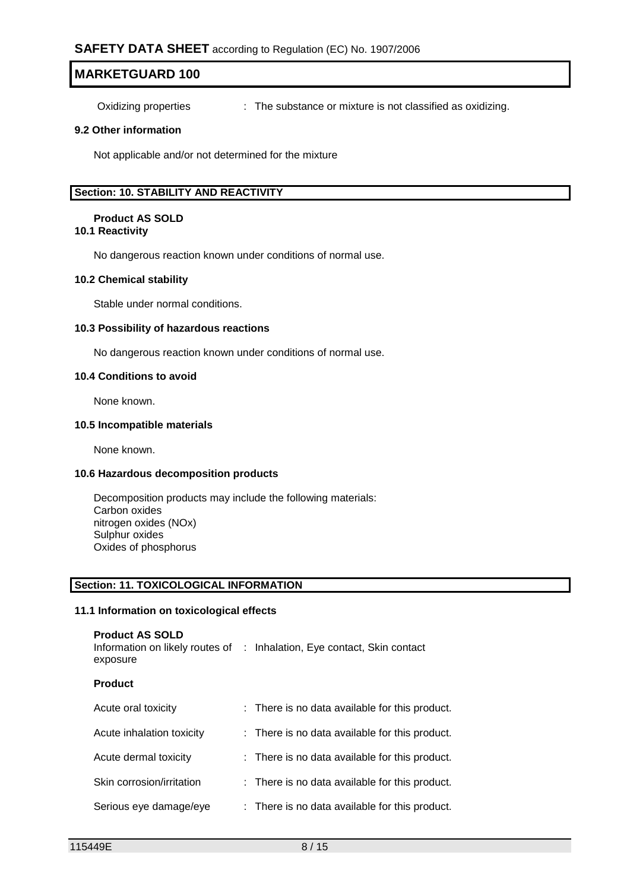Oxidizing properties : The substance or mixture is not classified as oxidizing.

#### **9.2 Other information**

Not applicable and/or not determined for the mixture

#### **Section: 10. STABILITY AND REACTIVITY**

#### **Product AS SOLD**

#### **10.1 Reactivity**

No dangerous reaction known under conditions of normal use.

#### **10.2 Chemical stability**

Stable under normal conditions.

#### **10.3 Possibility of hazardous reactions**

No dangerous reaction known under conditions of normal use.

#### **10.4 Conditions to avoid**

None known.

#### **10.5 Incompatible materials**

None known.

#### **10.6 Hazardous decomposition products**

Decomposition products may include the following materials: Carbon oxides nitrogen oxides (NOx) Sulphur oxides Oxides of phosphorus

#### **Section: 11. TOXICOLOGICAL INFORMATION**

#### **11.1 Information on toxicological effects**

| <b>Product AS SOLD</b><br>exposure | Information on likely routes of : Inhalation, Eye contact, Skin contact |
|------------------------------------|-------------------------------------------------------------------------|
| <b>Product</b>                     |                                                                         |
| Acute oral toxicity                | : There is no data available for this product.                          |
| Acute inhalation toxicity          | : There is no data available for this product.                          |
| Acute dermal toxicity              | : There is no data available for this product.                          |
| Skin corrosion/irritation          | : There is no data available for this product.                          |
| Serious eye damage/eye             | : There is no data available for this product.                          |
|                                    |                                                                         |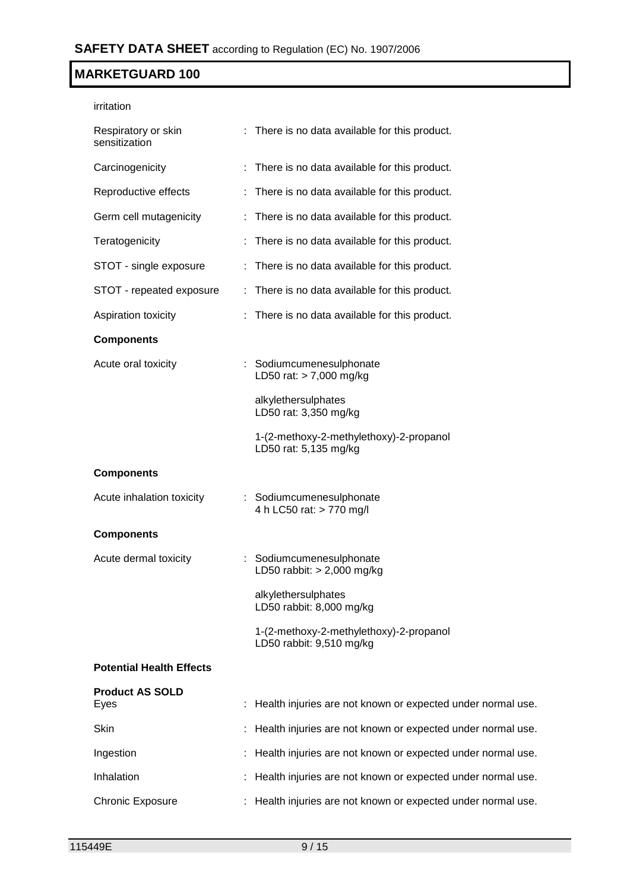| irritation                           |                                                                     |
|--------------------------------------|---------------------------------------------------------------------|
| Respiratory or skin<br>sensitization | : There is no data available for this product.                      |
| Carcinogenicity                      | : There is no data available for this product.                      |
| Reproductive effects                 | : There is no data available for this product.                      |
| Germ cell mutagenicity               | : There is no data available for this product.                      |
| Teratogenicity                       | : There is no data available for this product.                      |
| STOT - single exposure               | : There is no data available for this product.                      |
| STOT - repeated exposure             | : There is no data available for this product.                      |
| Aspiration toxicity                  | : There is no data available for this product.                      |
| <b>Components</b>                    |                                                                     |
| Acute oral toxicity                  | : Sodiumcumenesulphonate<br>LD50 rat: > 7,000 mg/kg                 |
|                                      | alkylethersulphates<br>LD50 rat: 3,350 mg/kg                        |
|                                      | 1-(2-methoxy-2-methylethoxy)-2-propanol<br>LD50 rat: 5,135 mg/kg    |
| <b>Components</b>                    |                                                                     |
| Acute inhalation toxicity            | : Sodiumcumenesulphonate<br>4 h LC50 rat: > 770 mg/l                |
| <b>Components</b>                    |                                                                     |
| Acute dermal toxicity                | : Sodiumcumenesulphonate<br>LD50 rabbit: > 2,000 mg/kg              |
|                                      | alkylethersulphates<br>LD50 rabbit: 8,000 mg/kg                     |
|                                      | 1-(2-methoxy-2-methylethoxy)-2-propanol<br>LD50 rabbit: 9,510 mg/kg |
| <b>Potential Health Effects</b>      |                                                                     |
| <b>Product AS SOLD</b><br>Eyes       | : Health injuries are not known or expected under normal use.       |
| Skin                                 | Health injuries are not known or expected under normal use.         |
| Ingestion                            | Health injuries are not known or expected under normal use.         |
| Inhalation                           | Health injuries are not known or expected under normal use.         |
| <b>Chronic Exposure</b>              | : Health injuries are not known or expected under normal use.       |
|                                      |                                                                     |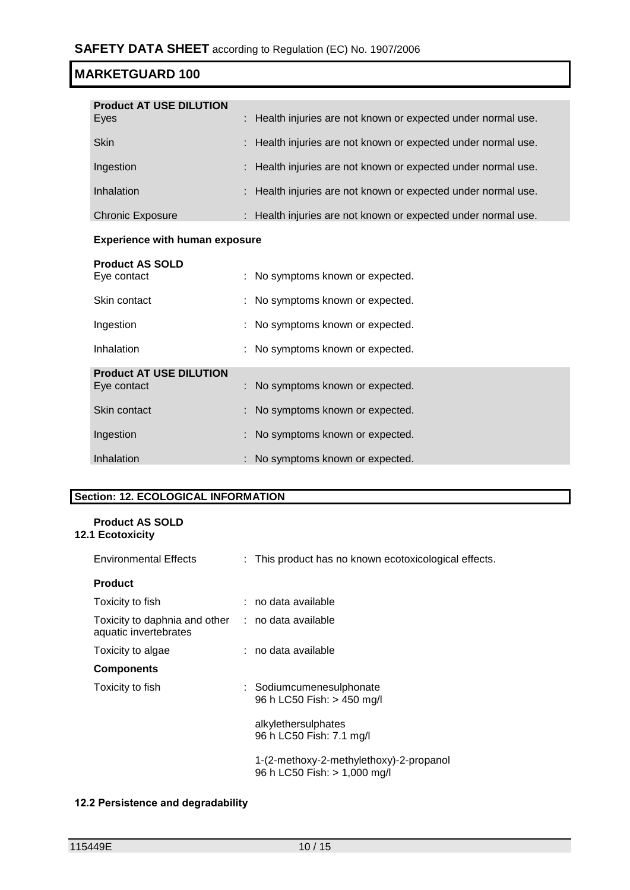| <b>Product AT USE DILUTION</b><br>Eyes | : Health injuries are not known or expected under normal use. |
|----------------------------------------|---------------------------------------------------------------|
| <b>Skin</b>                            | : Health injuries are not known or expected under normal use. |
| Ingestion                              | : Health injuries are not known or expected under normal use. |
| Inhalation                             | : Health injuries are not known or expected under normal use. |
| <b>Chronic Exposure</b>                | : Health injuries are not known or expected under normal use. |

### **Experience with human exposure**

| <b>Product AS SOLD</b><br>Eye contact         | : No symptoms known or expected. |
|-----------------------------------------------|----------------------------------|
| Skin contact                                  | : No symptoms known or expected. |
| Ingestion                                     | : No symptoms known or expected. |
| Inhalation                                    | : No symptoms known or expected. |
| <b>Product AT USE DILUTION</b><br>Eye contact | : No symptoms known or expected. |
| Skin contact                                  | : No symptoms known or expected. |
| Ingestion                                     | : No symptoms known or expected. |
| Inhalation                                    | : No symptoms known or expected. |

### **Section: 12. ECOLOGICAL INFORMATION**

#### **Product AS SOLD 12.1 Ecotoxicity**

| <b>Environmental Effects</b>                                               | : This product has no known ecotoxicological effects.                   |
|----------------------------------------------------------------------------|-------------------------------------------------------------------------|
| <b>Product</b>                                                             |                                                                         |
| Toxicity to fish                                                           | : no data available                                                     |
| Toxicity to daphnia and other : no data available<br>aquatic invertebrates |                                                                         |
| Toxicity to algae                                                          | : no data available                                                     |
| <b>Components</b>                                                          |                                                                         |
| Toxicity to fish                                                           | : Sodiumcumenesulphonate<br>96 h LC50 Fish: > 450 mg/l                  |
|                                                                            | alkylethersulphates<br>96 h LC50 Fish: 7.1 mg/l                         |
|                                                                            | 1-(2-methoxy-2-methylethoxy)-2-propanol<br>96 h LC50 Fish: > 1,000 mg/l |

#### **12.2 Persistence and degradability**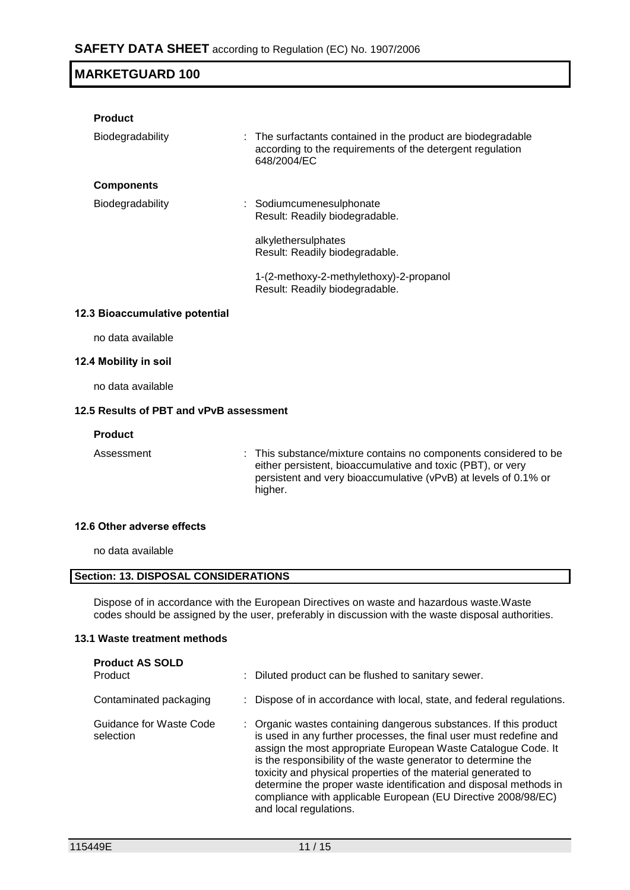| <b>Product</b>                 |                                                                                                                                          |
|--------------------------------|------------------------------------------------------------------------------------------------------------------------------------------|
| Biodegradability               | : The surfactants contained in the product are biodegradable<br>according to the requirements of the detergent regulation<br>648/2004/EC |
| <b>Components</b>              |                                                                                                                                          |
| Biodegradability               | : Sodiumcumenesulphonate<br>Result: Readily biodegradable.                                                                               |
|                                | alkylethersulphates<br>Result: Readily biodegradable.                                                                                    |
|                                | 1-(2-methoxy-2-methylethoxy)-2-propanol<br>Result: Readily biodegradable.                                                                |
| 12.3 Bioaccumulative potential |                                                                                                                                          |

no data available

#### **12.4 Mobility in soil**

no data available

### **12.5 Results of PBT and vPvB assessment**

#### **Product**

Assessment : This substance/mixture contains no components considered to be either persistent, bioaccumulative and toxic (PBT), or very persistent and very bioaccumulative (vPvB) at levels of 0.1% or higher.

#### **12.6 Other adverse effects**

no data available

#### **Section: 13. DISPOSAL CONSIDERATIONS**

Dispose of in accordance with the European Directives on waste and hazardous waste.Waste codes should be assigned by the user, preferably in discussion with the waste disposal authorities.

#### **13.1 Waste treatment methods**

| <b>Product AS SOLD</b><br>Product    | Diluted product can be flushed to sanitary sewer.                                                                                                                                                                                                                                                                                                                                                                                                                                                          |
|--------------------------------------|------------------------------------------------------------------------------------------------------------------------------------------------------------------------------------------------------------------------------------------------------------------------------------------------------------------------------------------------------------------------------------------------------------------------------------------------------------------------------------------------------------|
| Contaminated packaging               | Dispose of in accordance with local, state, and federal regulations.                                                                                                                                                                                                                                                                                                                                                                                                                                       |
| Guidance for Waste Code<br>selection | : Organic wastes containing dangerous substances. If this product<br>is used in any further processes, the final user must redefine and<br>assign the most appropriate European Waste Catalogue Code. It<br>is the responsibility of the waste generator to determine the<br>toxicity and physical properties of the material generated to<br>determine the proper waste identification and disposal methods in<br>compliance with applicable European (EU Directive 2008/98/EC)<br>and local regulations. |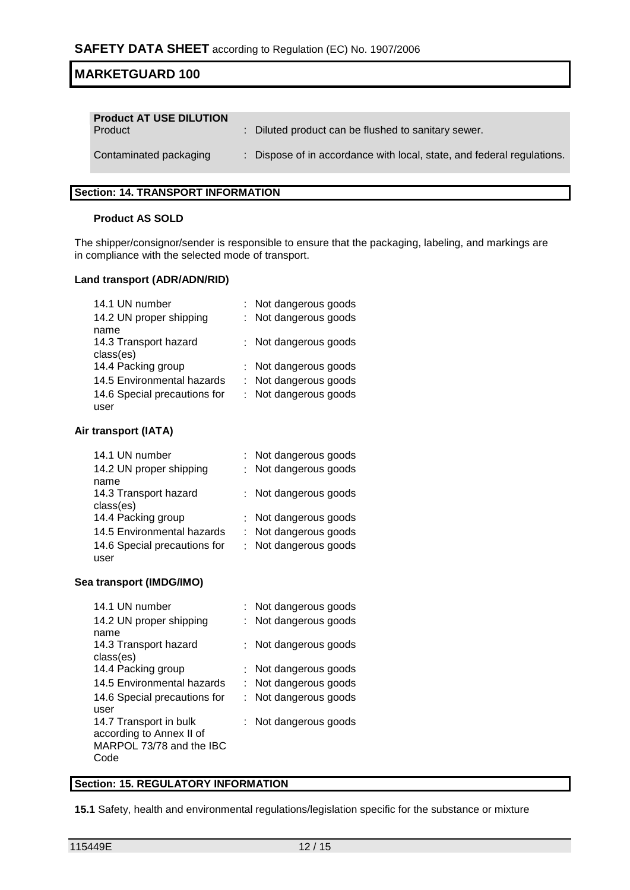| <b>Product AT USE DILUTION</b><br>Product | : Diluted product can be flushed to sanitary sewer.                    |
|-------------------------------------------|------------------------------------------------------------------------|
| Contaminated packaging                    | : Dispose of in accordance with local, state, and federal regulations. |

#### **Section: 14. TRANSPORT INFORMATION**

#### **Product AS SOLD**

The shipper/consignor/sender is responsible to ensure that the packaging, labeling, and markings are in compliance with the selected mode of transport.

#### **Land transport (ADR/ADN/RID)**

| 14.1 UN number               | : Not dangerous goods |
|------------------------------|-----------------------|
| 14.2 UN proper shipping      | : Not dangerous goods |
| name                         |                       |
| 14.3 Transport hazard        | : Not dangerous goods |
| class(es)                    |                       |
| 14.4 Packing group           | : Not dangerous goods |
| 14.5 Environmental hazards   | : Not dangerous goods |
| 14.6 Special precautions for | : Not dangerous goods |
| user                         |                       |

#### **Air transport (IATA)**

| 14.1 UN number               | : Not dangerous goods |
|------------------------------|-----------------------|
| 14.2 UN proper shipping      | : Not dangerous goods |
| name                         |                       |
| 14.3 Transport hazard        | : Not dangerous goods |
| class(es)                    |                       |
| 14.4 Packing group           | : Not dangerous goods |
| 14.5 Environmental hazards   | : Not dangerous goods |
| 14.6 Special precautions for | : Not dangerous goods |
| user                         |                       |

#### **Sea transport (IMDG/IMO)**

| 14.1 UN number               | : Not dangerous goods |
|------------------------------|-----------------------|
| 14.2 UN proper shipping      | Not dangerous goods   |
| name                         |                       |
| 14.3 Transport hazard        | Not dangerous goods   |
| class(es)                    |                       |
| 14.4 Packing group           | : Not dangerous goods |
| 14.5 Environmental hazards   | Not dangerous goods   |
| 14.6 Special precautions for | Not dangerous goods   |
| user                         |                       |
| 14.7 Transport in bulk       | Not dangerous goods   |
| according to Annex II of     |                       |
| MARPOL 73/78 and the IBC     |                       |
| Code                         |                       |

### **Section: 15. REGULATORY INFORMATION**

**15.1** Safety, health and environmental regulations/legislation specific for the substance or mixture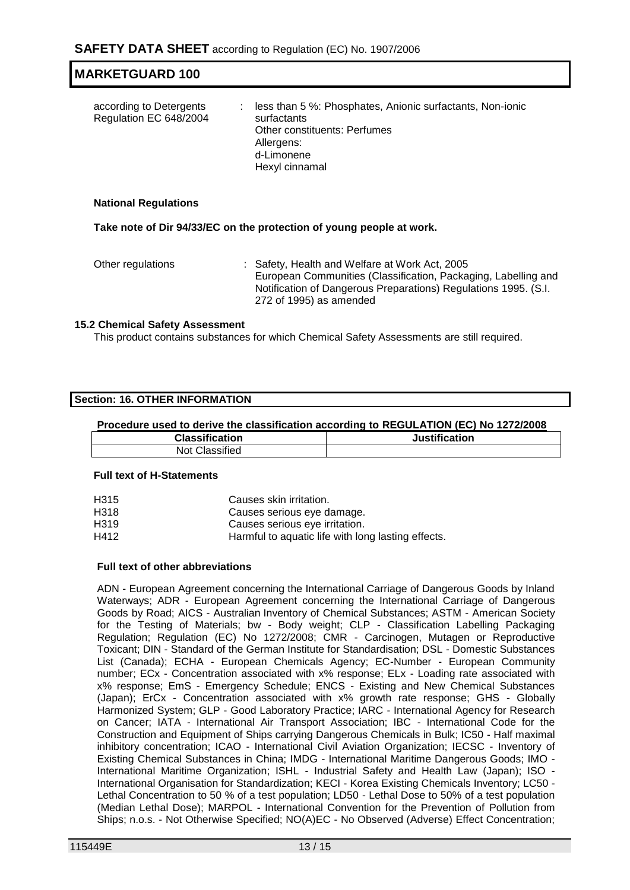| according to Detergents<br>Regulation EC 648/2004 | less than 5 %: Phosphates, Anionic surfactants, Non-ionic<br>÷.<br>surfactants<br><b>Other constituents: Perfumes</b><br>Allergens:<br>d-Limonene<br>Hexyl cinnamal |
|---------------------------------------------------|---------------------------------------------------------------------------------------------------------------------------------------------------------------------|
|                                                   |                                                                                                                                                                     |

**Take note of Dir 94/33/EC on the protection of young people at work.**

Other regulations : Safety, Health and Welfare at Work Act, 2005 European Communities (Classification, Packaging, Labelling and Notification of Dangerous Preparations) Regulations 1995. (S.I. 272 of 1995) as amended

#### **15.2 Chemical Safety Assessment**

This product contains substances for which Chemical Safety Assessments are still required.

| Section: 16. OTHER INFORMATION |  |
|--------------------------------|--|
|--------------------------------|--|

#### **Procedure used to derive the classification according to REGULATION (EC) No 1272/2008**

| <b>Classification</b> | <b>Justification</b> |
|-----------------------|----------------------|
| Not Classified        |                      |

#### **Full text of H-Statements**

| H315 | Causes skin irritation.                            |
|------|----------------------------------------------------|
| H318 | Causes serious eye damage.                         |
| H319 | Causes serious eve irritation.                     |
| H412 | Harmful to aquatic life with long lasting effects. |
|      |                                                    |

#### **Full text of other abbreviations**

ADN - European Agreement concerning the International Carriage of Dangerous Goods by Inland Waterways; ADR - European Agreement concerning the International Carriage of Dangerous Goods by Road; AICS - Australian Inventory of Chemical Substances; ASTM - American Society for the Testing of Materials; bw - Body weight; CLP - Classification Labelling Packaging Regulation; Regulation (EC) No 1272/2008; CMR - Carcinogen, Mutagen or Reproductive Toxicant; DIN - Standard of the German Institute for Standardisation; DSL - Domestic Substances List (Canada); ECHA - European Chemicals Agency; EC-Number - European Community number; ECx - Concentration associated with x% response; ELx - Loading rate associated with x% response; EmS - Emergency Schedule; ENCS - Existing and New Chemical Substances (Japan); ErCx - Concentration associated with x% growth rate response; GHS - Globally Harmonized System; GLP - Good Laboratory Practice; IARC - International Agency for Research on Cancer; IATA - International Air Transport Association; IBC - International Code for the Construction and Equipment of Ships carrying Dangerous Chemicals in Bulk; IC50 - Half maximal inhibitory concentration; ICAO - International Civil Aviation Organization; IECSC - Inventory of Existing Chemical Substances in China; IMDG - International Maritime Dangerous Goods; IMO - International Maritime Organization; ISHL - Industrial Safety and Health Law (Japan); ISO - International Organisation for Standardization; KECI - Korea Existing Chemicals Inventory; LC50 - Lethal Concentration to 50 % of a test population; LD50 - Lethal Dose to 50% of a test population (Median Lethal Dose); MARPOL - International Convention for the Prevention of Pollution from Ships; n.o.s. - Not Otherwise Specified; NO(A)EC - No Observed (Adverse) Effect Concentration;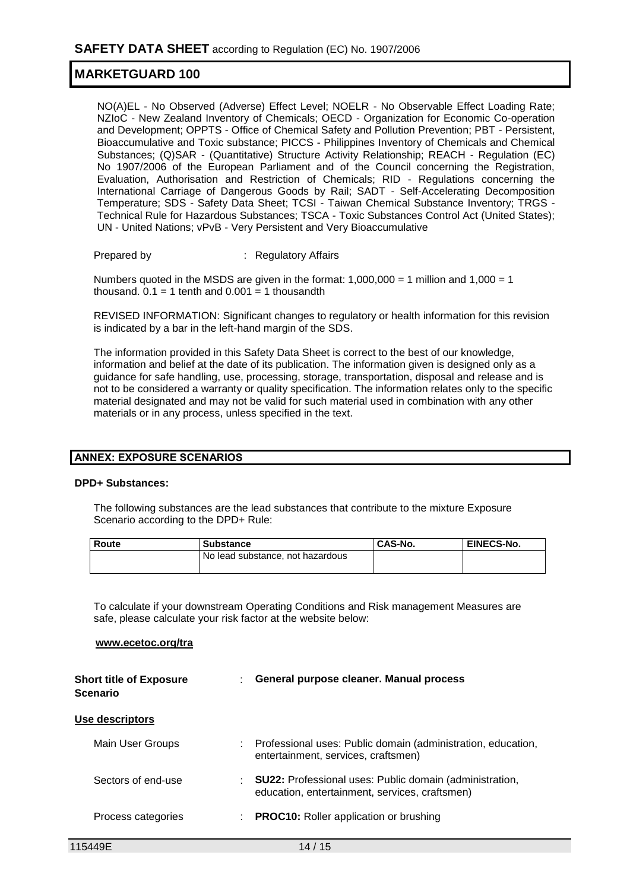NO(A)EL - No Observed (Adverse) Effect Level; NOELR - No Observable Effect Loading Rate; NZIoC - New Zealand Inventory of Chemicals; OECD - Organization for Economic Co-operation and Development; OPPTS - Office of Chemical Safety and Pollution Prevention; PBT - Persistent, Bioaccumulative and Toxic substance; PICCS - Philippines Inventory of Chemicals and Chemical Substances; (Q)SAR - (Quantitative) Structure Activity Relationship; REACH - Regulation (EC) No 1907/2006 of the European Parliament and of the Council concerning the Registration, Evaluation, Authorisation and Restriction of Chemicals; RID - Regulations concerning the International Carriage of Dangerous Goods by Rail; SADT - Self-Accelerating Decomposition Temperature; SDS - Safety Data Sheet; TCSI - Taiwan Chemical Substance Inventory; TRGS - Technical Rule for Hazardous Substances; TSCA - Toxic Substances Control Act (United States); UN - United Nations; vPvB - Very Persistent and Very Bioaccumulative

Prepared by : Regulatory Affairs

Numbers quoted in the MSDS are given in the format:  $1,000,000 = 1$  million and  $1,000 = 1$ thousand.  $0.1 = 1$  tenth and  $0.001 = 1$  thousandth

REVISED INFORMATION: Significant changes to regulatory or health information for this revision is indicated by a bar in the left-hand margin of the SDS.

The information provided in this Safety Data Sheet is correct to the best of our knowledge, information and belief at the date of its publication. The information given is designed only as a guidance for safe handling, use, processing, storage, transportation, disposal and release and is not to be considered a warranty or quality specification. The information relates only to the specific material designated and may not be valid for such material used in combination with any other materials or in any process, unless specified in the text.

#### **ANNEX: EXPOSURE SCENARIOS**

#### **DPD+ Substances:**

The following substances are the lead substances that contribute to the mixture Exposure Scenario according to the DPD+ Rule:

| Route | <b>Substance</b>                 | CAS-No. | <b>EINECS-No.</b> |
|-------|----------------------------------|---------|-------------------|
|       | No lead substance, not hazardous |         |                   |
|       |                                  |         |                   |

To calculate if your downstream Operating Conditions and Risk management Measures are safe, please calculate your risk factor at the website below:

#### **www.ecetoc.org/tra**

| <b>Short title of Exposure</b><br><b>Scenario</b> | General purpose cleaner. Manual process                                                                            |
|---------------------------------------------------|--------------------------------------------------------------------------------------------------------------------|
| Use descriptors                                   |                                                                                                                    |
| Main User Groups                                  | Professional uses: Public domain (administration, education,<br>entertainment, services, craftsmen)                |
| Sectors of end-use                                | : <b>SU22:</b> Professional uses: Public domain (administration,<br>education, entertainment, services, craftsmen) |
| Process categories                                | <b>PROC10:</b> Roller application or brushing                                                                      |